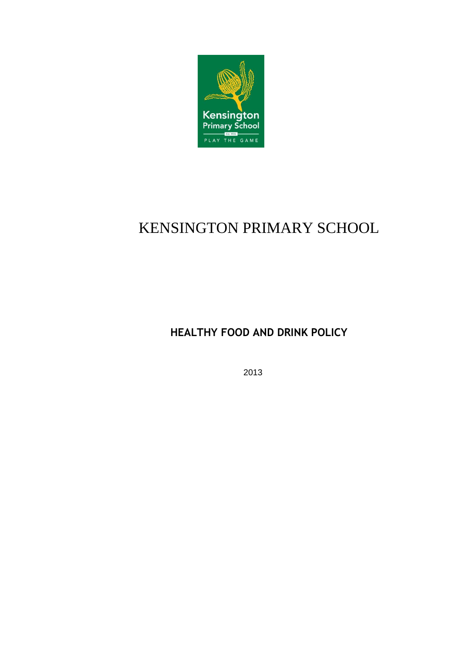

# KENSINGTON PRIMARY SCHOOL

**HEALTHY FOOD AND DRINK POLICY**

2013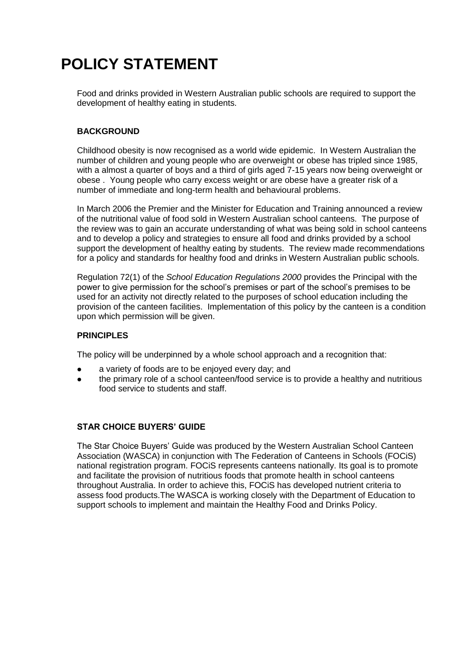# **POLICY STATEMENT**

Food and drinks provided in Western Australian public schools are required to support the development of healthy eating in students.

## **BACKGROUND**

Childhood obesity is now recognised as a world wide epidemic. In Western Australian the number of children and young people who are overweight or obese has tripled since 1985, with a almost a quarter of boys and a third of girls aged 7-15 years now being overweight or obese . Young people who carry excess weight or are obese have a greater risk of a number of immediate and long-term health and behavioural problems.

In March 2006 the Premier and the Minister for Education and Training announced a review of the nutritional value of food sold in Western Australian school canteens. The purpose of the review was to gain an accurate understanding of what was being sold in school canteens and to develop a policy and strategies to ensure all food and drinks provided by a school support the development of healthy eating by students. The review made recommendations for a policy and standards for healthy food and drinks in Western Australian public schools.

Regulation 72(1) of the *School Education Regulations 2000* provides the Principal with the power to give permission for the school's premises or part of the school's premises to be used for an activity not directly related to the purposes of school education including the provision of the canteen facilities. Implementation of this policy by the canteen is a condition upon which permission will be given.

## **PRINCIPLES**

The policy will be underpinned by a whole school approach and a recognition that:

- a variety of foods are to be enjoyed every day; and
- the primary role of a school canteen/food service is to provide a healthy and nutritious food service to students and staff.

### **STAR CHOICE BUYERS' GUIDE**

The Star Choice Buyers' Guide was produced by the Western Australian School Canteen Association (WASCA) in conjunction with The Federation of Canteens in Schools (FOCiS) national registration program. FOCiS represents canteens nationally. Its goal is to promote and facilitate the provision of nutritious foods that promote health in school canteens throughout Australia. In order to achieve this, FOCiS has developed nutrient criteria to assess food products.The WASCA is working closely with the Department of Education to support schools to implement and maintain the Healthy Food and Drinks Policy.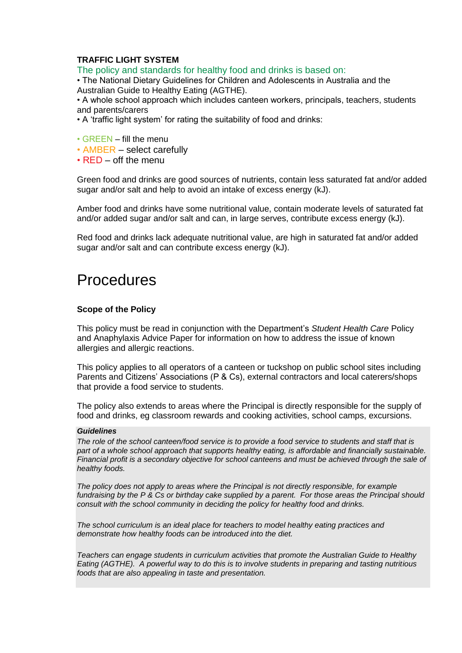## **TRAFFIC LIGHT SYSTEM**

The policy and standards for healthy food and drinks is based on:

• The National Dietary Guidelines for Children and Adolescents in Australia and the Australian Guide to Healthy Eating (AGTHE).

• A whole school approach which includes canteen workers, principals, teachers, students and parents/carers

- A 'traffic light system' for rating the suitability of food and drinks:
- GREEN fill the menu
- AMBER select carefully
- RED off the menu

Green food and drinks are good sources of nutrients, contain less saturated fat and/or added sugar and/or salt and help to avoid an intake of excess energy (kJ).

Amber food and drinks have some nutritional value, contain moderate levels of saturated fat and/or added sugar and/or salt and can, in large serves, contribute excess energy (kJ).

Red food and drinks lack adequate nutritional value, are high in saturated fat and/or added sugar and/or salt and can contribute excess energy (kJ).

## **Procedures**

#### **Scope of the Policy**

This policy must be read in conjunction with the Department's *Student Health Care* Policy and Anaphylaxis Advice Paper for information on how to address the issue of known allergies and allergic reactions.

This policy applies to all operators of a canteen or tuckshop on public school sites including Parents and Citizens' Associations (P & Cs), external contractors and local caterers/shops that provide a food service to students.

The policy also extends to areas where the Principal is directly responsible for the supply of food and drinks, eg classroom rewards and cooking activities, school camps, excursions.

#### *Guidelines*

*The role of the school canteen/food service is to provide a food service to students and staff that is part of a whole school approach that supports healthy eating, is affordable and financially sustainable. Financial profit is a secondary objective for school canteens and must be achieved through the sale of healthy foods.*

*The policy does not apply to areas where the Principal is not directly responsible, for example fundraising by the P & Cs or birthday cake supplied by a parent. For those areas the Principal should consult with the school community in deciding the policy for healthy food and drinks.*

*The school curriculum is an ideal place for teachers to model healthy eating practices and demonstrate how healthy foods can be introduced into the diet.*

*Teachers can engage students in curriculum activities that promote the Australian Guide to Healthy Eating (AGTHE). A powerful way to do this is to involve students in preparing and tasting nutritious foods that are also appealing in taste and presentation.*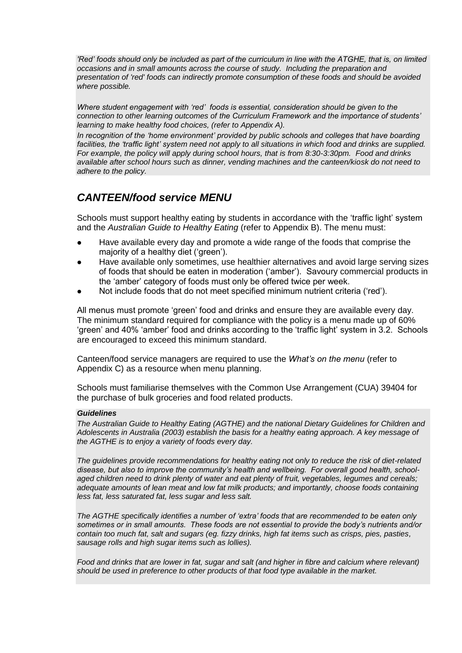*'Red' foods should only be included as part of the curriculum in line with the ATGHE, that is, on limited occasions and in small amounts across the course of study. Including the preparation and presentation of 'red' foods can indirectly promote consumption of these foods and should be avoided where possible.* 

*Where student engagement with 'red' foods is essential, consideration should be given to the connection to other learning outcomes of the Curriculum Framework and the importance of students' learning to make healthy food choices, (refer to Appendix A).*

*In recognition of the 'home environment' provided by public schools and colleges that have boarding*  facilities, the 'traffic light' system need not apply to all situations in which food and drinks are supplied. *For example, the policy will apply during school hours, that is from 8:30-3:30pm. Food and drinks available after school hours such as dinner, vending machines and the canteen/kiosk do not need to adhere to the policy.* 

## *CANTEEN/food service MENU*

Schools must support healthy eating by students in accordance with the 'traffic light' system and the *Australian Guide to Healthy Eating* (refer to Appendix B). The menu must:

- Have available every day and promote a wide range of the foods that comprise the majority of a healthy diet ('green').
- Have available only sometimes, use healthier alternatives and avoid large serving sizes of foods that should be eaten in moderation ('amber'). Savoury commercial products in the 'amber' category of foods must only be offered twice per week.
- Not include foods that do not meet specified minimum nutrient criteria ('red').

All menus must promote 'green' food and drinks and ensure they are available every day. The minimum standard required for compliance with the policy is a menu made up of 60% 'green' and 40% 'amber' food and drinks according to the 'traffic light' system in 3.2. Schools are encouraged to exceed this minimum standard.

Canteen/food service managers are required to use the *What's on the menu* (refer to Appendix C) as a resource when menu planning.

Schools must familiarise themselves with the Common Use Arrangement (CUA) 39404 for the purchase of bulk groceries and food related products.

#### *Guidelines*

*The Australian Guide to Healthy Eating (AGTHE) and the national Dietary Guidelines for Children and Adolescents in Australia (2003) establish the basis for a healthy eating approach. A key message of the AGTHE is to enjoy a variety of foods every day.*

*The guidelines provide recommendations for healthy eating not only to reduce the risk of diet-related disease, but also to improve the community's health and wellbeing. For overall good health, schoolaged children need to drink plenty of water and eat plenty of fruit, vegetables, legumes and cereals; adequate amounts of lean meat and low fat milk products; and importantly, choose foods containing less fat, less saturated fat, less sugar and less salt.*

*The AGTHE specifically identifies a number of 'extra' foods that are recommended to be eaten only sometimes or in small amounts. These foods are not essential to provide the body's nutrients and/or contain too much fat, salt and sugars (eg. fizzy drinks, high fat items such as crisps, pies, pasties, sausage rolls and high sugar items such as lollies).*

*Food and drinks that are lower in fat, sugar and salt (and higher in fibre and calcium where relevant) should be used in preference to other products of that food type available in the market.*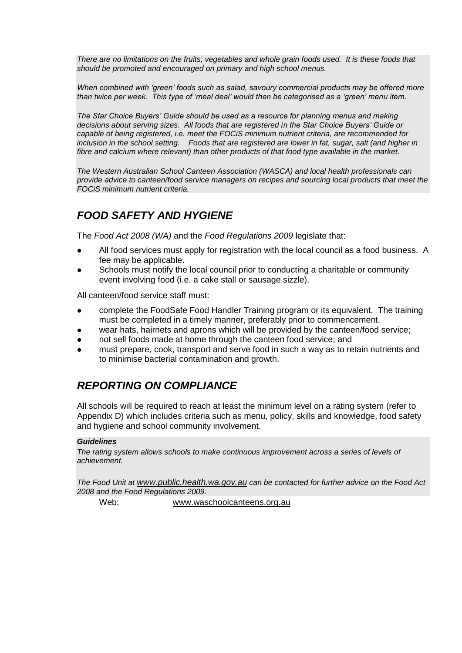*There are no limitations on the fruits, vegetables and whole grain foods used. It is these foods that should be promoted and encouraged on primary and high school menus.*

*When combined with 'green' foods such as salad, savoury commercial products may be offered more than twice per week. This type of 'meal deal' would then be categorised as a 'green' menu item.*

*The Star Choice Buyers' Guide should be used as a resource for planning menus and making decisions about serving sizes. All foods that are registered in the Star Choice Buyers' Guide or capable of being registered, i.e. meet the FOCiS minimum nutrient criteria, are recommended for*  inclusion in the school setting. Foods that are registered are lower in fat, sugar, salt (and higher in *fibre and calcium where relevant) than other products of that food type available in the market.* 

*The Western Australian School Canteen Association (WASCA) and local health professionals can provide advice to canteen/food service managers on recipes and sourcing local products that meet the FOCiS minimum nutrient criteria.*

## *FOOD SAFETY AND HYGIENE*

The *Food Act 2008 (WA)* and the *Food Regulations 2009* legislate that:

- All food services must apply for registration with the local council as a food business. A fee may be applicable.
- Schools must notify the local council prior to conducting a charitable or community event involving food (i.e. a cake stall or sausage sizzle).

All canteen/food service staff must:

- complete the FoodSafe Food Handler Training program or its equivalent. The training must be completed in a timely manner, preferably prior to commencement.
- wear hats, hairnets and aprons which will be provided by the canteen/food service;
- not sell foods made at home through the canteen food service; and
- must prepare, cook, transport and serve food in such a way as to retain nutrients and to minimise bacterial contamination and growth.

## *REPORTING ON COMPLIANCE*

All schools will be required to reach at least the minimum level on a rating system (refer to Appendix D) which includes criteria such as menu, policy, skills and knowledge, food safety and hygiene and school community involvement.

#### *Guidelines*

*The rating system allows schools to make continuous improvement across a series of levels of achievement.* 

*The Food Unit at [www.public.health.wa.gov.au](http://www.public.health.wa.gov.au/) can be contacted for further advice on the Food Act 2008 and the Food Regulations 2009.*

Web: [www.waschoolcanteens.org.au](http://www.waschoolcanteens.org.au/)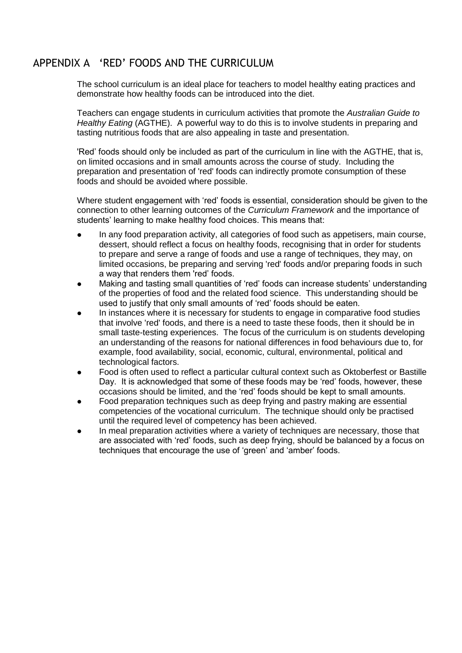## APPENDIX A 'RED' FOODS AND THE CURRICULUM

The school curriculum is an ideal place for teachers to model healthy eating practices and demonstrate how healthy foods can be introduced into the diet.

Teachers can engage students in curriculum activities that promote the *Australian Guide to Healthy Eating* (AGTHE). A powerful way to do this is to involve students in preparing and tasting nutritious foods that are also appealing in taste and presentation.

'Red' foods should only be included as part of the curriculum in line with the AGTHE, that is, on limited occasions and in small amounts across the course of study. Including the preparation and presentation of 'red' foods can indirectly promote consumption of these foods and should be avoided where possible.

Where student engagement with 'red' foods is essential, consideration should be given to the connection to other learning outcomes of the *Curriculum Framework* and the importance of students' learning to make healthy food choices. This means that:

- In any food preparation activity, all categories of food such as appetisers, main course, dessert, should reflect a focus on healthy foods, recognising that in order for students to prepare and serve a range of foods and use a range of techniques, they may, on limited occasions, be preparing and serving 'red' foods and/or preparing foods in such a way that renders them 'red' foods.
- Making and tasting small quantities of 'red' foods can increase students' understanding of the properties of food and the related food science. This understanding should be used to justify that only small amounts of 'red' foods should be eaten.
- In instances where it is necessary for students to engage in comparative food studies that involve 'red' foods, and there is a need to taste these foods, then it should be in small taste-testing experiences. The focus of the curriculum is on students developing an understanding of the reasons for national differences in food behaviours due to, for example, food availability, social, economic, cultural, environmental, political and technological factors.
- Food is often used to reflect a particular cultural context such as Oktoberfest or Bastille Day. It is acknowledged that some of these foods may be 'red' foods, however, these occasions should be limited, and the 'red' foods should be kept to small amounts.
- Food preparation techniques such as deep frying and pastry making are essential competencies of the vocational curriculum. The technique should only be practised until the required level of competency has been achieved.
- In meal preparation activities where a variety of techniques are necessary, those that are associated with 'red' foods, such as deep frying, should be balanced by a focus on techniques that encourage the use of 'green' and 'amber' foods.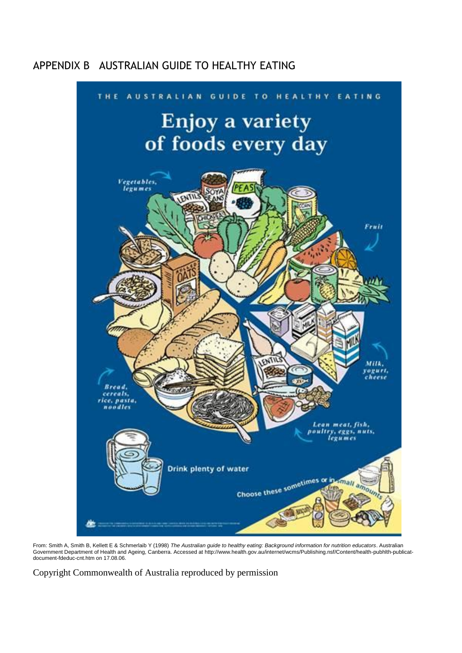## APPENDIX B AUSTRALIAN GUIDE TO HEALTHY EATING



From: Smith A, Smith B, Kellett E & Schmerlaib Y (1998) *The Australian guide to healthy eating: Background information for nutrition educators*. Australian Government Department of Health and Ageing, Canberra. Accessed at http://www.health.gov.au/internet/wcms/Publishing.nsf/Content/health-pubhlth-publicatdocument-fdeduc-cnt.htm on 17.08.06.

Copyright Commonwealth of Australia reproduced by permission